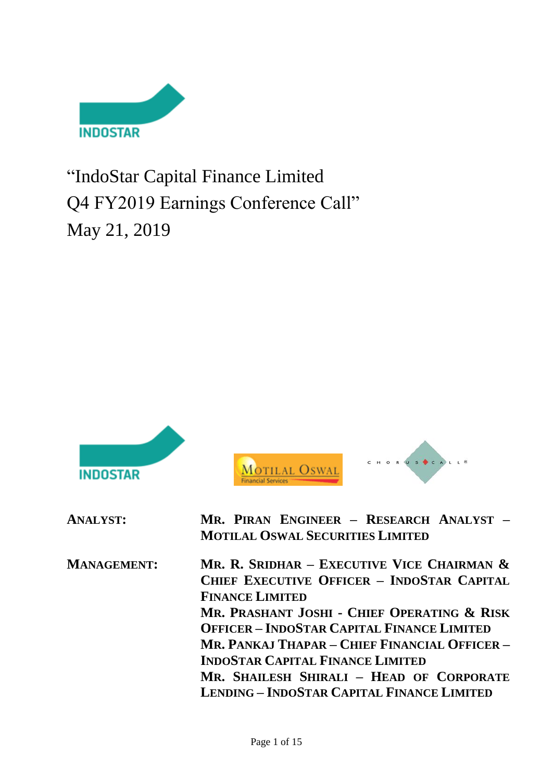

"IndoStar Capital Finance Limited Q4 FY2019 Earnings Conference Call" May 21, 2019



**MR. PRASHANT JOSHI - CHIEF OPERATING & RISK OFFICER – INDOSTAR CAPITAL FINANCE LIMITED MR. PANKAJ THAPAR – CHIEF FINANCIAL OFFICER – INDOSTAR CAPITAL FINANCE LIMITED MR. SHAILESH SHIRALI – HEAD OF CORPORATE LENDING – INDOSTAR CAPITAL FINANCE LIMITED**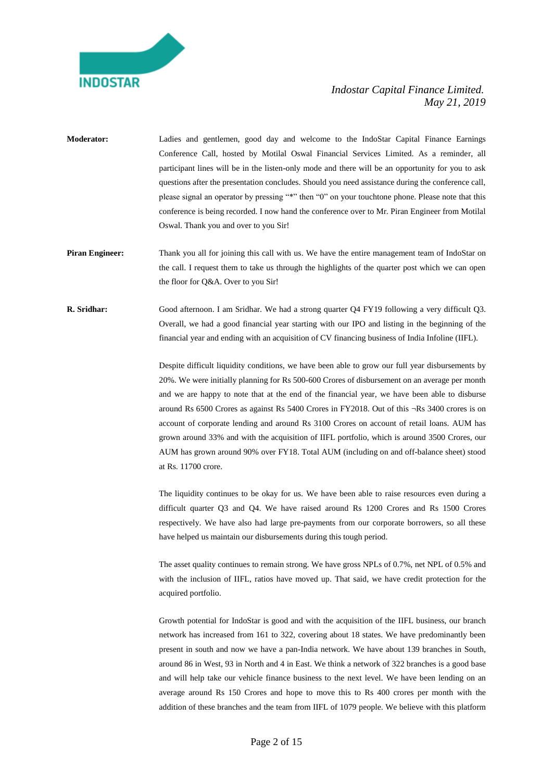

- **Moderator:** Ladies and gentlemen, good day and welcome to the IndoStar Capital Finance Earnings Conference Call, hosted by Motilal Oswal Financial Services Limited. As a reminder, all participant lines will be in the listen-only mode and there will be an opportunity for you to ask questions after the presentation concludes. Should you need assistance during the conference call, please signal an operator by pressing "\*" then "0" on your touchtone phone. Please note that this conference is being recorded. I now hand the conference over to Mr. Piran Engineer from Motilal Oswal. Thank you and over to you Sir!
- **Piran Engineer:** Thank you all for joining this call with us. We have the entire management team of IndoStar on the call. I request them to take us through the highlights of the quarter post which we can open the floor for Q&A. Over to you Sir!
- **R. Sridhar:** Good afternoon. I am Sridhar. We had a strong quarter Q4 FY19 following a very difficult Q3. Overall, we had a good financial year starting with our IPO and listing in the beginning of the financial year and ending with an acquisition of CV financing business of India Infoline (IIFL).

Despite difficult liquidity conditions, we have been able to grow our full year disbursements by 20%. We were initially planning for Rs 500-600 Crores of disbursement on an average per month and we are happy to note that at the end of the financial year, we have been able to disburse around Rs 6500 Crores as against Rs 5400 Crores in FY2018. Out of this ¬Rs 3400 crores is on account of corporate lending and around Rs 3100 Crores on account of retail loans. AUM has grown around 33% and with the acquisition of IIFL portfolio, which is around 3500 Crores, our AUM has grown around 90% over FY18. Total AUM (including on and off-balance sheet) stood at Rs. 11700 crore.

The liquidity continues to be okay for us. We have been able to raise resources even during a difficult quarter Q3 and Q4. We have raised around Rs 1200 Crores and Rs 1500 Crores respectively. We have also had large pre-payments from our corporate borrowers, so all these have helped us maintain our disbursements during this tough period.

The asset quality continues to remain strong. We have gross NPLs of 0.7%, net NPL of 0.5% and with the inclusion of IIFL, ratios have moved up. That said, we have credit protection for the acquired portfolio.

Growth potential for IndoStar is good and with the acquisition of the IIFL business, our branch network has increased from 161 to 322, covering about 18 states. We have predominantly been present in south and now we have a pan-India network. We have about 139 branches in South, around 86 in West, 93 in North and 4 in East. We think a network of 322 branches is a good base and will help take our vehicle finance business to the next level. We have been lending on an average around Rs 150 Crores and hope to move this to Rs 400 crores per month with the addition of these branches and the team from IIFL of 1079 people. We believe with this platform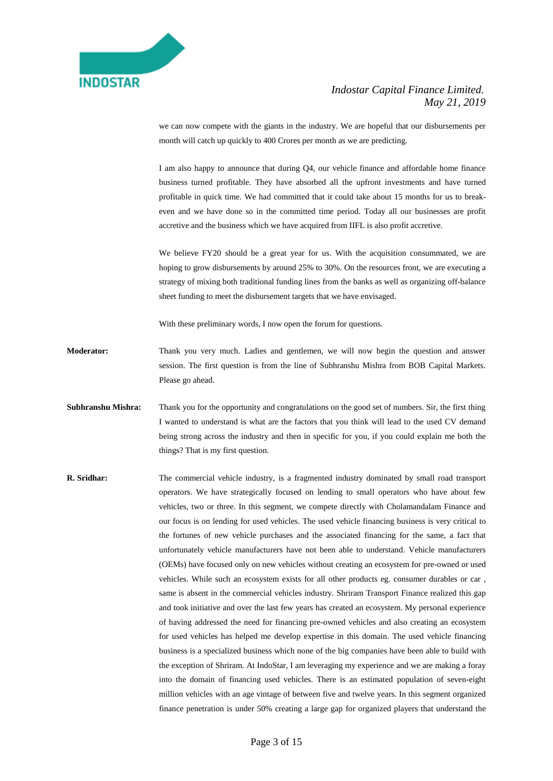

we can now compete with the giants in the industry. We are hopeful that our disbursements per month will catch up quickly to 400 Crores per month as we are predicting.

I am also happy to announce that during Q4, our vehicle finance and affordable home finance business turned profitable. They have absorbed all the upfront investments and have turned profitable in quick time. We had committed that it could take about 15 months for us to breakeven and we have done so in the committed time period. Today all our businesses are profit accretive and the business which we have acquired from IIFL is also profit accretive.

We believe FY20 should be a great year for us. With the acquisition consummated, we are hoping to grow disbursements by around 25% to 30%. On the resources front, we are executing a strategy of mixing both traditional funding lines from the banks as well as organizing off-balance sheet funding to meet the disbursement targets that we have envisaged.

With these preliminary words, I now open the forum for questions.

**Moderator:** Thank you very much. Ladies and gentlemen, we will now begin the question and answer session. The first question is from the line of Subhranshu Mishra from BOB Capital Markets. Please go ahead.

- **Subhranshu Mishra:** Thank you for the opportunity and congratulations on the good set of numbers. Sir, the first thing I wanted to understand is what are the factors that you think will lead to the used CV demand being strong across the industry and then in specific for you, if you could explain me both the things? That is my first question.
- **R. Sridhar:** The commercial vehicle industry, is a fragmented industry dominated by small road transport operators. We have strategically focused on lending to small operators who have about few vehicles, two or three. In this segment, we compete directly with Cholamandalam Finance and our focus is on lending for used vehicles. The used vehicle financing business is very critical to the fortunes of new vehicle purchases and the associated financing for the same, a fact that unfortunately vehicle manufacturers have not been able to understand. Vehicle manufacturers (OEMs) have focused only on new vehicles without creating an ecosystem for pre-owned or used vehicles. While such an ecosystem exists for all other products eg. consumer durables or car , same is absent in the commercial vehicles industry. Shriram Transport Finance realized this gap and took initiative and over the last few years has created an ecosystem. My personal experience of having addressed the need for financing pre-owned vehicles and also creating an ecosystem for used vehicles has helped me develop expertise in this domain. The used vehicle financing business is a specialized business which none of the big companies have been able to build with the exception of Shriram. At IndoStar, I am leveraging my experience and we are making a foray into the domain of financing used vehicles. There is an estimated population of seven-eight million vehicles with an age vintage of between five and twelve years. In this segment organized finance penetration is under 50% creating a large gap for organized players that understand the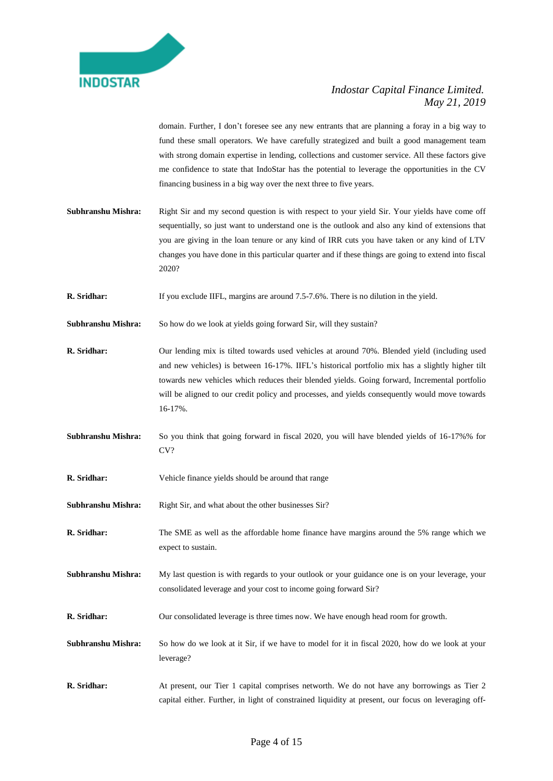

domain. Further, I don't foresee see any new entrants that are planning a foray in a big way to fund these small operators. We have carefully strategized and built a good management team with strong domain expertise in lending, collections and customer service. All these factors give me confidence to state that IndoStar has the potential to leverage the opportunities in the CV financing business in a big way over the next three to five years.

**Subhranshu Mishra:** Right Sir and my second question is with respect to your yield Sir. Your yields have come off sequentially, so just want to understand one is the outlook and also any kind of extensions that you are giving in the loan tenure or any kind of IRR cuts you have taken or any kind of LTV changes you have done in this particular quarter and if these things are going to extend into fiscal 2020?

**R. Sridhar:** If you exclude IIFL, margins are around 7.5-7.6%. There is no dilution in the yield.

Subhranshu Mishra: So how do we look at yields going forward Sir, will they sustain?

**R. Sridhar:** Our lending mix is tilted towards used vehicles at around 70%. Blended yield (including used and new vehicles) is between 16-17%. IIFL's historical portfolio mix has a slightly higher tilt towards new vehicles which reduces their blended yields. Going forward, Incremental portfolio will be aligned to our credit policy and processes, and yields consequently would move towards 16-17%.

**Subhranshu Mishra:** So you think that going forward in fiscal 2020, you will have blended yields of 16-17%% for CV?

- **R. Sridhar:** Vehicle finance yields should be around that range
- **Subhranshu Mishra:** Right Sir, and what about the other businesses Sir?
- **R. Sridhar:** The SME as well as the affordable home finance have margins around the 5% range which we expect to sustain.
- **Subhranshu Mishra:** My last question is with regards to your outlook or your guidance one is on your leverage, your consolidated leverage and your cost to income going forward Sir?
- **R. Sridhar:** Our consolidated leverage is three times now. We have enough head room for growth.
- **Subhranshu Mishra:** So how do we look at it Sir, if we have to model for it in fiscal 2020, how do we look at your leverage?
- **R. Sridhar:** At present, our Tier 1 capital comprises networth. We do not have any borrowings as Tier 2 capital either. Further, in light of constrained liquidity at present, our focus on leveraging off-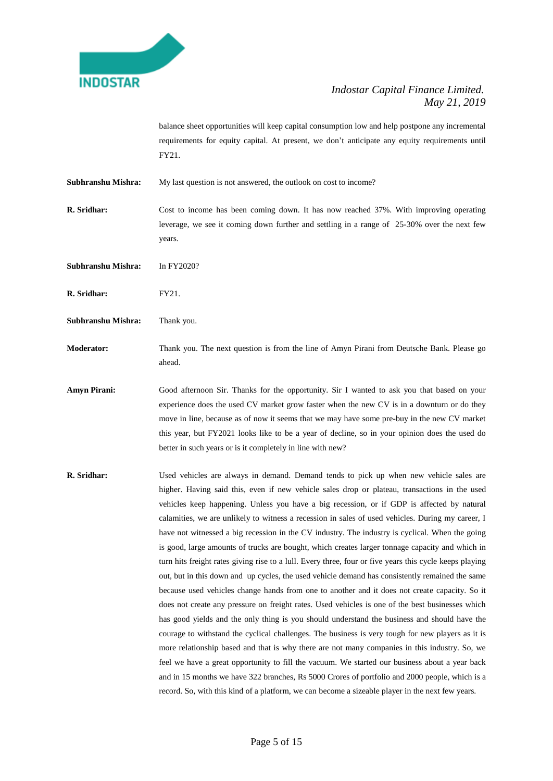

balance sheet opportunities will keep capital consumption low and help postpone any incremental requirements for equity capital. At present, we don't anticipate any equity requirements until FY21.

**Subhranshu Mishra:** My last question is not answered, the outlook on cost to income?

**R. Sridhar:** Cost to income has been coming down. It has now reached 37%. With improving operating leverage, we see it coming down further and settling in a range of 25-30% over the next few years.

**Subhranshu Mishra:** In FY2020?

**R. Sridhar:** FY21.

**Subhranshu Mishra:** Thank you.

**Moderator:** Thank you. The next question is from the line of Amyn Pirani from Deutsche Bank. Please go ahead.

Amyn Pirani: Good afternoon Sir. Thanks for the opportunity. Sir I wanted to ask you that based on your experience does the used CV market grow faster when the new CV is in a downturn or do they move in line, because as of now it seems that we may have some pre-buy in the new CV market this year, but FY2021 looks like to be a year of decline, so in your opinion does the used do better in such years or is it completely in line with new?

**R. Sridhar:** Used vehicles are always in demand. Demand tends to pick up when new vehicle sales are higher. Having said this, even if new vehicle sales drop or plateau, transactions in the used vehicles keep happening. Unless you have a big recession, or if GDP is affected by natural calamities, we are unlikely to witness a recession in sales of used vehicles. During my career, I have not witnessed a big recession in the CV industry. The industry is cyclical. When the going is good, large amounts of trucks are bought, which creates larger tonnage capacity and which in turn hits freight rates giving rise to a lull. Every three, four or five years this cycle keeps playing out, but in this down and up cycles, the used vehicle demand has consistently remained the same because used vehicles change hands from one to another and it does not create capacity. So it does not create any pressure on freight rates. Used vehicles is one of the best businesses which has good yields and the only thing is you should understand the business and should have the courage to withstand the cyclical challenges. The business is very tough for new players as it is more relationship based and that is why there are not many companies in this industry. So, we feel we have a great opportunity to fill the vacuum. We started our business about a year back and in 15 months we have 322 branches, Rs 5000 Crores of portfolio and 2000 people, which is a record. So, with this kind of a platform, we can become a sizeable player in the next few years.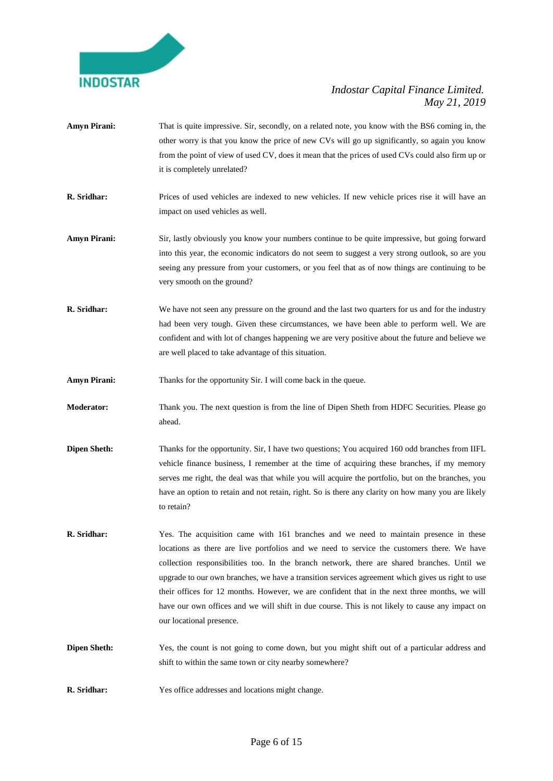

- Amyn Pirani: That is quite impressive. Sir, secondly, on a related note, you know with the BS6 coming in, the other worry is that you know the price of new CVs will go up significantly, so again you know from the point of view of used CV, does it mean that the prices of used CVs could also firm up or it is completely unrelated?
- **R. Sridhar:** Prices of used vehicles are indexed to new vehicles. If new vehicle prices rise it will have an impact on used vehicles as well.
- Amyn Pirani: Sir, lastly obviously you know your numbers continue to be quite impressive, but going forward into this year, the economic indicators do not seem to suggest a very strong outlook, so are you seeing any pressure from your customers, or you feel that as of now things are continuing to be very smooth on the ground?
- **R. Sridhar:** We have not seen any pressure on the ground and the last two quarters for us and for the industry had been very tough. Given these circumstances, we have been able to perform well. We are confident and with lot of changes happening we are very positive about the future and believe we are well placed to take advantage of this situation.
- **Amyn Pirani:** Thanks for the opportunity Sir. I will come back in the queue.
- **Moderator:** Thank you. The next question is from the line of Dipen Sheth from HDFC Securities. Please go ahead.
- **Dipen Sheth:** Thanks for the opportunity. Sir, I have two questions; You acquired 160 odd branches from IIFL vehicle finance business, I remember at the time of acquiring these branches, if my memory serves me right, the deal was that while you will acquire the portfolio, but on the branches, you have an option to retain and not retain, right. So is there any clarity on how many you are likely to retain?
- **R. Sridhar:** Yes. The acquisition came with 161 branches and we need to maintain presence in these locations as there are live portfolios and we need to service the customers there. We have collection responsibilities too. In the branch network, there are shared branches. Until we upgrade to our own branches, we have a transition services agreement which gives us right to use their offices for 12 months. However, we are confident that in the next three months, we will have our own offices and we will shift in due course. This is not likely to cause any impact on our locational presence.
- **Dipen Sheth:** Yes, the count is not going to come down, but you might shift out of a particular address and shift to within the same town or city nearby somewhere?
- **R. Sridhar:** Yes office addresses and locations might change.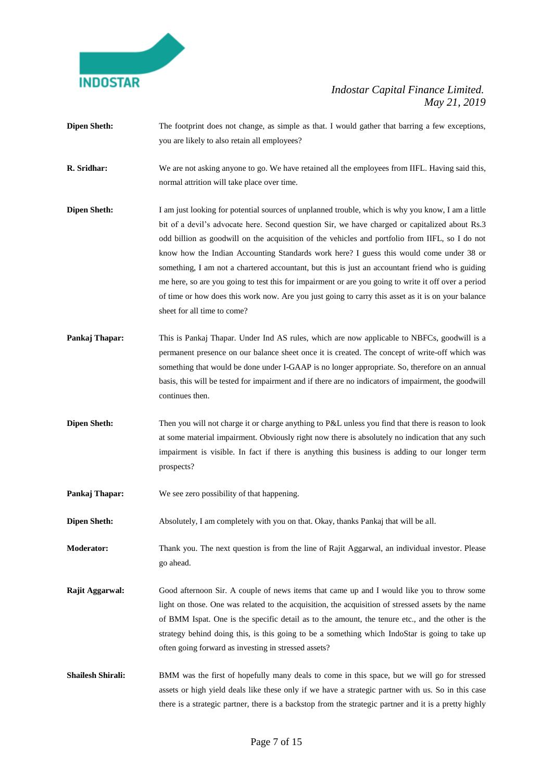

- **Dipen Sheth:** The footprint does not change, as simple as that. I would gather that barring a few exceptions, you are likely to also retain all employees?
- **R. Sridhar:** We are not asking anyone to go. We have retained all the employees from IIFL. Having said this, normal attrition will take place over time.
- **Dipen Sheth:** I am just looking for potential sources of unplanned trouble, which is why you know, I am a little bit of a devil's advocate here. Second question Sir, we have charged or capitalized about Rs.3 odd billion as goodwill on the acquisition of the vehicles and portfolio from IIFL, so I do not know how the Indian Accounting Standards work here? I guess this would come under 38 or something, I am not a chartered accountant, but this is just an accountant friend who is guiding me here, so are you going to test this for impairment or are you going to write it off over a period of time or how does this work now. Are you just going to carry this asset as it is on your balance sheet for all time to come?
- **Pankaj Thapar:** This is Pankaj Thapar. Under Ind AS rules, which are now applicable to NBFCs, goodwill is a permanent presence on our balance sheet once it is created. The concept of write-off which was something that would be done under I-GAAP is no longer appropriate. So, therefore on an annual basis, this will be tested for impairment and if there are no indicators of impairment, the goodwill continues then.
- **Dipen Sheth:** Then you will not charge it or charge anything to P&L unless you find that there is reason to look at some material impairment. Obviously right now there is absolutely no indication that any such impairment is visible. In fact if there is anything this business is adding to our longer term prospects?
- **Pankaj Thapar:** We see zero possibility of that happening.
- **Dipen Sheth:** Absolutely, I am completely with you on that. Okay, thanks Pankaj that will be all.
- **Moderator:** Thank you. The next question is from the line of Rajit Aggarwal, an individual investor. Please go ahead.
- **Rajit Aggarwal:** Good afternoon Sir. A couple of news items that came up and I would like you to throw some light on those. One was related to the acquisition, the acquisition of stressed assets by the name of BMM Ispat. One is the specific detail as to the amount, the tenure etc., and the other is the strategy behind doing this, is this going to be a something which IndoStar is going to take up often going forward as investing in stressed assets?
- **Shailesh Shirali:** BMM was the first of hopefully many deals to come in this space, but we will go for stressed assets or high yield deals like these only if we have a strategic partner with us. So in this case there is a strategic partner, there is a backstop from the strategic partner and it is a pretty highly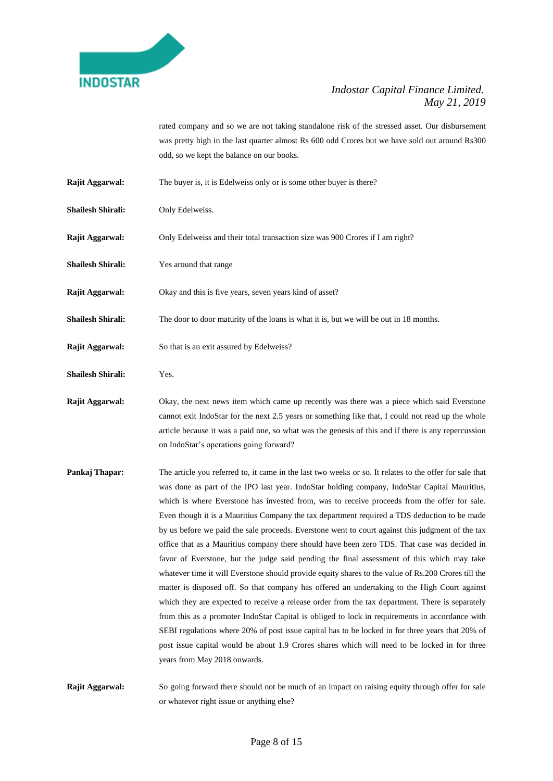

rated company and so we are not taking standalone risk of the stressed asset. Our disbursement was pretty high in the last quarter almost Rs 600 odd Crores but we have sold out around Rs300 odd, so we kept the balance on our books.

- **Rajit Aggarwal:** The buyer is, it is Edelweiss only or is some other buyer is there?
- **Shailesh Shirali:** Only Edelweiss.
- **Rajit Aggarwal:** Only Edelweiss and their total transaction size was 900 Crores if I am right?
- **Shailesh Shirali:** Yes around that range
- **Rajit Aggarwal:** Okay and this is five years, seven years kind of asset?
- **Shailesh Shirali:** The door to door maturity of the loans is what it is, but we will be out in 18 months.
- **Rajit Aggarwal:** So that is an exit assured by Edelweiss?
- **Shailesh Shirali:** Yes.

**Rajit Aggarwal:** Okay, the next news item which came up recently was there was a piece which said Everstone cannot exit IndoStar for the next 2.5 years or something like that, I could not read up the whole article because it was a paid one, so what was the genesis of this and if there is any repercussion on IndoStar's operations going forward?

**Pankaj Thapar:** The article you referred to, it came in the last two weeks or so. It relates to the offer for sale that was done as part of the IPO last year. IndoStar holding company, IndoStar Capital Mauritius, which is where Everstone has invested from, was to receive proceeds from the offer for sale. Even though it is a Mauritius Company the tax department required a TDS deduction to be made by us before we paid the sale proceeds. Everstone went to court against this judgment of the tax office that as a Mauritius company there should have been zero TDS. That case was decided in favor of Everstone, but the judge said pending the final assessment of this which may take whatever time it will Everstone should provide equity shares to the value of Rs.200 Crores till the matter is disposed off. So that company has offered an undertaking to the High Court against which they are expected to receive a release order from the tax department. There is separately from this as a promoter IndoStar Capital is obliged to lock in requirements in accordance with SEBI regulations where 20% of post issue capital has to be locked in for three years that 20% of post issue capital would be about 1.9 Crores shares which will need to be locked in for three years from May 2018 onwards.

**Rajit Aggarwal:** So going forward there should not be much of an impact on raising equity through offer for sale or whatever right issue or anything else?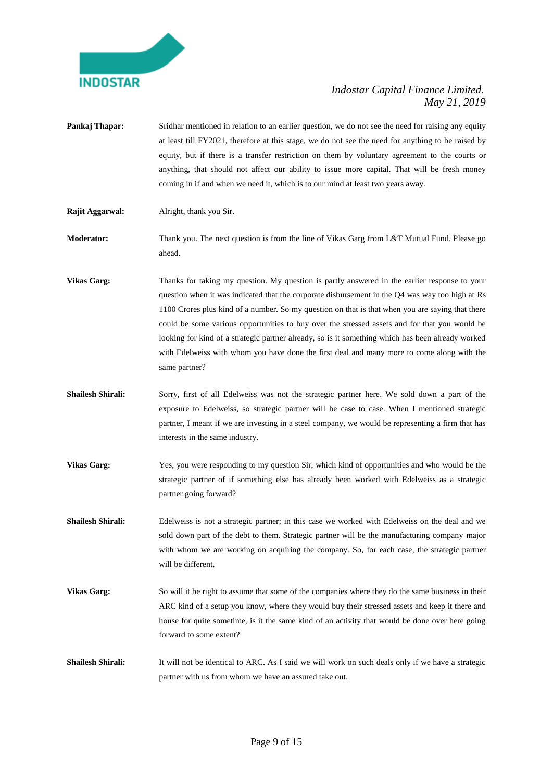

- **Pankaj Thapar:** Sridhar mentioned in relation to an earlier question, we do not see the need for raising any equity at least till FY2021, therefore at this stage, we do not see the need for anything to be raised by equity, but if there is a transfer restriction on them by voluntary agreement to the courts or anything, that should not affect our ability to issue more capital. That will be fresh money coming in if and when we need it, which is to our mind at least two years away.
- **Rajit Aggarwal:** Alright, thank you Sir.
- **Moderator:** Thank you. The next question is from the line of Vikas Garg from L&T Mutual Fund. Please go ahead.
- **Vikas Garg:** Thanks for taking my question. My question is partly answered in the earlier response to your question when it was indicated that the corporate disbursement in the Q4 was way too high at Rs 1100 Crores plus kind of a number. So my question on that is that when you are saying that there could be some various opportunities to buy over the stressed assets and for that you would be looking for kind of a strategic partner already, so is it something which has been already worked with Edelweiss with whom you have done the first deal and many more to come along with the same partner?
- **Shailesh Shirali:** Sorry, first of all Edelweiss was not the strategic partner here. We sold down a part of the exposure to Edelweiss, so strategic partner will be case to case. When I mentioned strategic partner, I meant if we are investing in a steel company, we would be representing a firm that has interests in the same industry.
- **Vikas Garg:** Yes, you were responding to my question Sir, which kind of opportunities and who would be the strategic partner of if something else has already been worked with Edelweiss as a strategic partner going forward?
- **Shailesh Shirali:** Edelweiss is not a strategic partner; in this case we worked with Edelweiss on the deal and we sold down part of the debt to them. Strategic partner will be the manufacturing company major with whom we are working on acquiring the company. So, for each case, the strategic partner will be different.
- **Vikas Garg:** So will it be right to assume that some of the companies where they do the same business in their ARC kind of a setup you know, where they would buy their stressed assets and keep it there and house for quite sometime, is it the same kind of an activity that would be done over here going forward to some extent?
- **Shailesh Shirali:** It will not be identical to ARC. As I said we will work on such deals only if we have a strategic partner with us from whom we have an assured take out.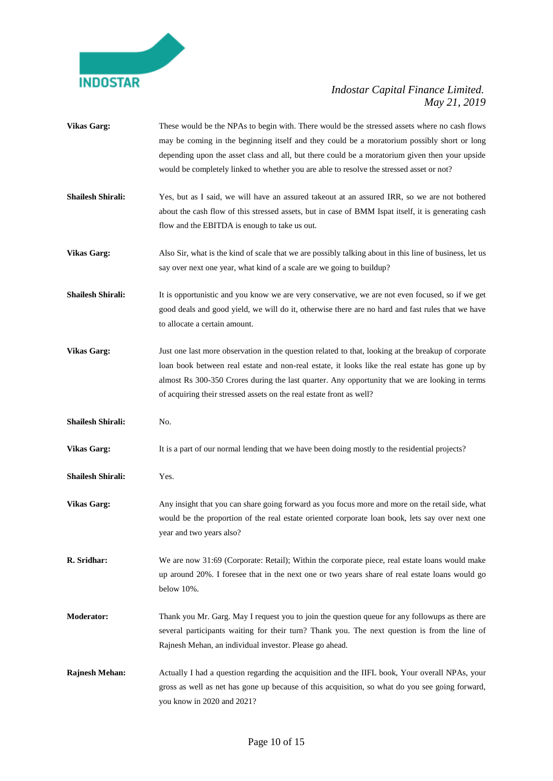

**Vikas Garg:** These would be the NPAs to begin with. There would be the stressed assets where no cash flows may be coming in the beginning itself and they could be a moratorium possibly short or long depending upon the asset class and all, but there could be a moratorium given then your upside would be completely linked to whether you are able to resolve the stressed asset or not? **Shailesh Shirali:** Yes, but as I said, we will have an assured takeout at an assured IRR, so we are not bothered about the cash flow of this stressed assets, but in case of BMM Ispat itself, it is generating cash flow and the EBITDA is enough to take us out. **Vikas Garg:** Also Sir, what is the kind of scale that we are possibly talking about in this line of business, let us say over next one year, what kind of a scale are we going to buildup? **Shailesh Shirali:** It is opportunistic and you know we are very conservative, we are not even focused, so if we get good deals and good yield, we will do it, otherwise there are no hard and fast rules that we have to allocate a certain amount. **Vikas Garg:** Just one last more observation in the question related to that, looking at the breakup of corporate loan book between real estate and non-real estate, it looks like the real estate has gone up by almost Rs 300-350 Crores during the last quarter. Any opportunity that we are looking in terms of acquiring their stressed assets on the real estate front as well? **Shailesh Shirali:** No. **Vikas Garg:** It is a part of our normal lending that we have been doing mostly to the residential projects? **Shailesh Shirali:** Yes. **Vikas Garg:** Any insight that you can share going forward as you focus more and more on the retail side, what would be the proportion of the real estate oriented corporate loan book, lets say over next one year and two years also? **R. Sridhar:** We are now 31:69 (Corporate: Retail); Within the corporate piece, real estate loans would make up around 20%. I foresee that in the next one or two years share of real estate loans would go below 10%. **Moderator:** Thank you Mr. Garg. May I request you to join the question queue for any followups as there are several participants waiting for their turn? Thank you. The next question is from the line of Rajnesh Mehan, an individual investor. Please go ahead. **Rajnesh Mehan:** Actually I had a question regarding the acquisition and the IIFL book, Your overall NPAs, your gross as well as net has gone up because of this acquisition, so what do you see going forward,

you know in 2020 and 2021?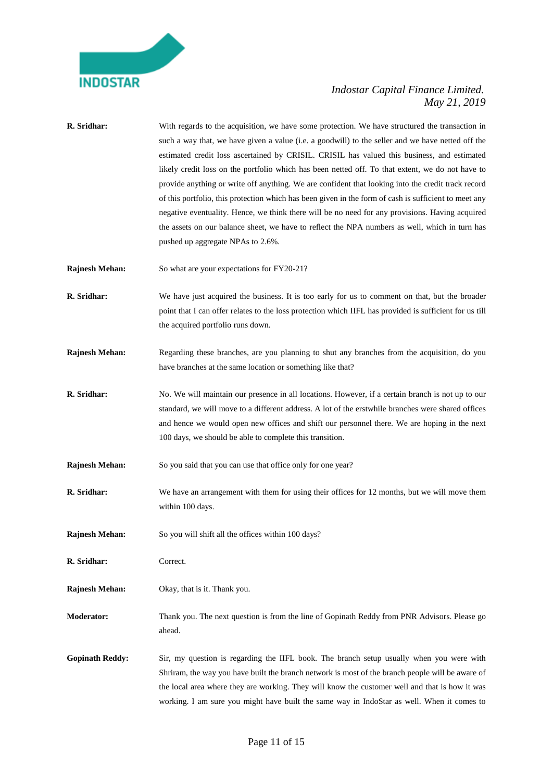

| R. Sridhar:            | With regards to the acquisition, we have some protection. We have structured the transaction in<br>such a way that, we have given a value (i.e. a goodwill) to the seller and we have netted off the<br>estimated credit loss ascertained by CRISIL. CRISIL has valued this business, and estimated<br>likely credit loss on the portfolio which has been netted off. To that extent, we do not have to<br>provide anything or write off anything. We are confident that looking into the credit track record<br>of this portfolio, this protection which has been given in the form of cash is sufficient to meet any<br>negative eventuality. Hence, we think there will be no need for any provisions. Having acquired<br>the assets on our balance sheet, we have to reflect the NPA numbers as well, which in turn has<br>pushed up aggregate NPAs to 2.6%. |
|------------------------|------------------------------------------------------------------------------------------------------------------------------------------------------------------------------------------------------------------------------------------------------------------------------------------------------------------------------------------------------------------------------------------------------------------------------------------------------------------------------------------------------------------------------------------------------------------------------------------------------------------------------------------------------------------------------------------------------------------------------------------------------------------------------------------------------------------------------------------------------------------|
| <b>Rajnesh Mehan:</b>  | So what are your expectations for FY20-21?                                                                                                                                                                                                                                                                                                                                                                                                                                                                                                                                                                                                                                                                                                                                                                                                                       |
| R. Sridhar:            | We have just acquired the business. It is too early for us to comment on that, but the broader<br>point that I can offer relates to the loss protection which IIFL has provided is sufficient for us till<br>the acquired portfolio runs down.                                                                                                                                                                                                                                                                                                                                                                                                                                                                                                                                                                                                                   |
| <b>Rajnesh Mehan:</b>  | Regarding these branches, are you planning to shut any branches from the acquisition, do you<br>have branches at the same location or something like that?                                                                                                                                                                                                                                                                                                                                                                                                                                                                                                                                                                                                                                                                                                       |
| R. Sridhar:            | No. We will maintain our presence in all locations. However, if a certain branch is not up to our<br>standard, we will move to a different address. A lot of the erstwhile branches were shared offices<br>and hence we would open new offices and shift our personnel there. We are hoping in the next<br>100 days, we should be able to complete this transition.                                                                                                                                                                                                                                                                                                                                                                                                                                                                                              |
| <b>Rajnesh Mehan:</b>  | So you said that you can use that office only for one year?                                                                                                                                                                                                                                                                                                                                                                                                                                                                                                                                                                                                                                                                                                                                                                                                      |
| R. Sridhar:            | We have an arrangement with them for using their offices for 12 months, but we will move them<br>within 100 days.                                                                                                                                                                                                                                                                                                                                                                                                                                                                                                                                                                                                                                                                                                                                                |
| <b>Rajnesh Mehan:</b>  | So you will shift all the offices within 100 days?                                                                                                                                                                                                                                                                                                                                                                                                                                                                                                                                                                                                                                                                                                                                                                                                               |
| R. Sridhar:            | Correct.                                                                                                                                                                                                                                                                                                                                                                                                                                                                                                                                                                                                                                                                                                                                                                                                                                                         |
| <b>Rajnesh Mehan:</b>  | Okay, that is it. Thank you.                                                                                                                                                                                                                                                                                                                                                                                                                                                                                                                                                                                                                                                                                                                                                                                                                                     |
| <b>Moderator:</b>      | Thank you. The next question is from the line of Gopinath Reddy from PNR Advisors. Please go<br>ahead.                                                                                                                                                                                                                                                                                                                                                                                                                                                                                                                                                                                                                                                                                                                                                           |
| <b>Gopinath Reddy:</b> | Sir, my question is regarding the IIFL book. The branch setup usually when you were with<br>Shriram, the way you have built the branch network is most of the branch people will be aware of<br>the local area where they are working. They will know the customer well and that is how it was<br>working. I am sure you might have built the same way in IndoStar as well. When it comes to                                                                                                                                                                                                                                                                                                                                                                                                                                                                     |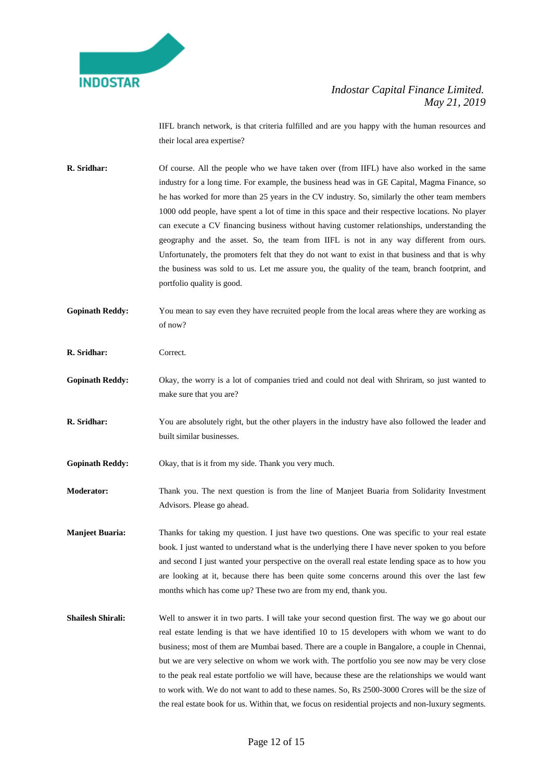

IIFL branch network, is that criteria fulfilled and are you happy with the human resources and their local area expertise?

- **R.** Sridhar: Of course. All the people who we have taken over (from IIFL) have also worked in the same industry for a long time. For example, the business head was in GE Capital, Magma Finance, so he has worked for more than 25 years in the CV industry. So, similarly the other team members 1000 odd people, have spent a lot of time in this space and their respective locations. No player can execute a CV financing business without having customer relationships, understanding the geography and the asset. So, the team from IIFL is not in any way different from ours. Unfortunately, the promoters felt that they do not want to exist in that business and that is why the business was sold to us. Let me assure you, the quality of the team, branch footprint, and portfolio quality is good.
- **Gopinath Reddy:** You mean to say even they have recruited people from the local areas where they are working as of now?
- **R. Sridhar:** Correct.
- Gopinath Reddy: Okay, the worry is a lot of companies tried and could not deal with Shriram, so just wanted to make sure that you are?
- **R. Sridhar:** You are absolutely right, but the other players in the industry have also followed the leader and built similar businesses.

**Gopinath Reddy:** Okay, that is it from my side. Thank you very much.

**Moderator:** Thank you. The next question is from the line of Manjeet Buaria from Solidarity Investment Advisors. Please go ahead.

**Manjeet Buaria:** Thanks for taking my question. I just have two questions. One was specific to your real estate book. I just wanted to understand what is the underlying there I have never spoken to you before and second I just wanted your perspective on the overall real estate lending space as to how you are looking at it, because there has been quite some concerns around this over the last few months which has come up? These two are from my end, thank you.

**Shailesh Shirali:** Well to answer it in two parts. I will take your second question first. The way we go about our real estate lending is that we have identified 10 to 15 developers with whom we want to do business; most of them are Mumbai based. There are a couple in Bangalore, a couple in Chennai, but we are very selective on whom we work with. The portfolio you see now may be very close to the peak real estate portfolio we will have, because these are the relationships we would want to work with. We do not want to add to these names. So, Rs 2500-3000 Crores will be the size of the real estate book for us. Within that, we focus on residential projects and non-luxury segments.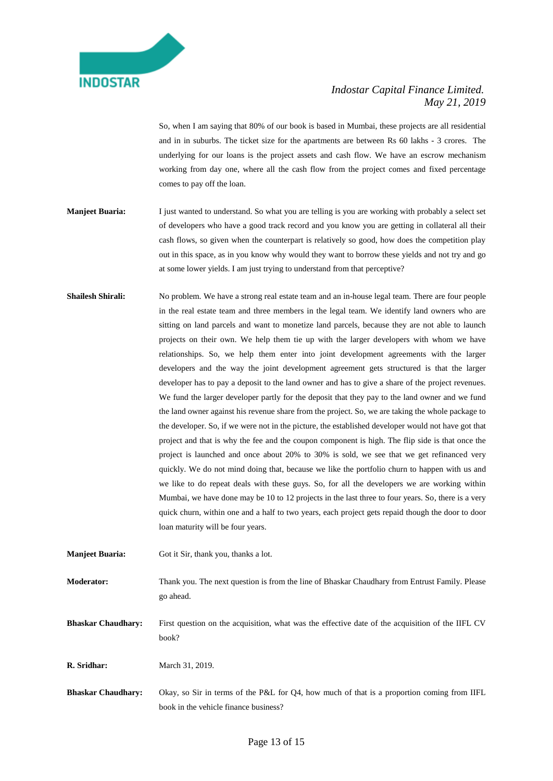

So, when I am saying that 80% of our book is based in Mumbai, these projects are all residential and in in suburbs. The ticket size for the apartments are between Rs 60 lakhs - 3 crores. The underlying for our loans is the project assets and cash flow. We have an escrow mechanism working from day one, where all the cash flow from the project comes and fixed percentage comes to pay off the loan.

- **Manjeet Buaria:** I just wanted to understand. So what you are telling is you are working with probably a select set of developers who have a good track record and you know you are getting in collateral all their cash flows, so given when the counterpart is relatively so good, how does the competition play out in this space, as in you know why would they want to borrow these yields and not try and go at some lower yields. I am just trying to understand from that perceptive?
- **Shailesh Shirali:** No problem. We have a strong real estate team and an in-house legal team. There are four people in the real estate team and three members in the legal team. We identify land owners who are sitting on land parcels and want to monetize land parcels, because they are not able to launch projects on their own. We help them tie up with the larger developers with whom we have relationships. So, we help them enter into joint development agreements with the larger developers and the way the joint development agreement gets structured is that the larger developer has to pay a deposit to the land owner and has to give a share of the project revenues. We fund the larger developer partly for the deposit that they pay to the land owner and we fund the land owner against his revenue share from the project. So, we are taking the whole package to the developer. So, if we were not in the picture, the established developer would not have got that project and that is why the fee and the coupon component is high. The flip side is that once the project is launched and once about 20% to 30% is sold, we see that we get refinanced very quickly. We do not mind doing that, because we like the portfolio churn to happen with us and we like to do repeat deals with these guys. So, for all the developers we are working within Mumbai, we have done may be 10 to 12 projects in the last three to four years. So, there is a very quick churn, within one and a half to two years, each project gets repaid though the door to door loan maturity will be four years.

**Manjeet Buaria:** Got it Sir, thank you, thanks a lot.

**Moderator:** Thank you. The next question is from the line of Bhaskar Chaudhary from Entrust Family. Please go ahead.

**Bhaskar Chaudhary:** First question on the acquisition, what was the effective date of the acquisition of the IIFL CV book?

**R. Sridhar:** March 31, 2019.

**Bhaskar Chaudhary:** Okay, so Sir in terms of the P&L for Q4, how much of that is a proportion coming from IIFL book in the vehicle finance business?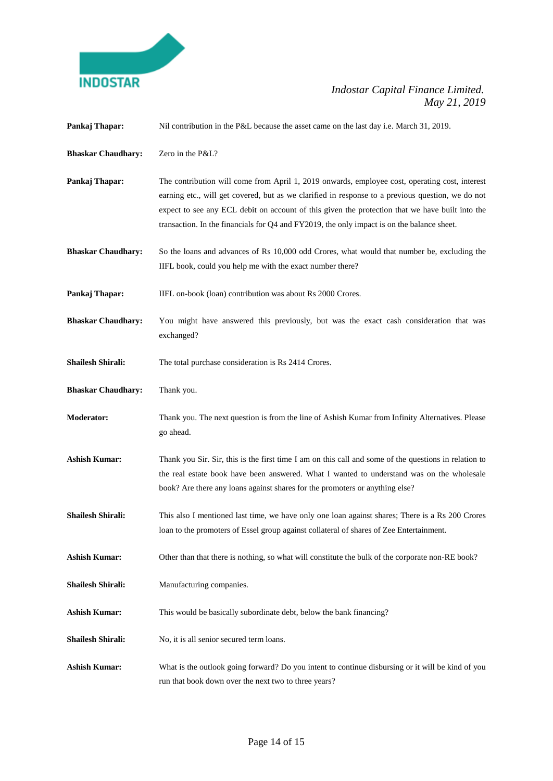

| Pankaj Thapar:            | Nil contribution in the P&L because the asset came on the last day i.e. March 31, 2019.                                                                                                                                                                                                                                                                                                              |
|---------------------------|------------------------------------------------------------------------------------------------------------------------------------------------------------------------------------------------------------------------------------------------------------------------------------------------------------------------------------------------------------------------------------------------------|
| <b>Bhaskar Chaudhary:</b> | Zero in the P&L?                                                                                                                                                                                                                                                                                                                                                                                     |
| Pankaj Thapar:            | The contribution will come from April 1, 2019 onwards, employee cost, operating cost, interest<br>earning etc., will get covered, but as we clarified in response to a previous question, we do not<br>expect to see any ECL debit on account of this given the protection that we have built into the<br>transaction. In the financials for Q4 and FY2019, the only impact is on the balance sheet. |
| <b>Bhaskar Chaudhary:</b> | So the loans and advances of Rs 10,000 odd Crores, what would that number be, excluding the<br>IIFL book, could you help me with the exact number there?                                                                                                                                                                                                                                             |
| Pankaj Thapar:            | IIFL on-book (loan) contribution was about Rs 2000 Crores.                                                                                                                                                                                                                                                                                                                                           |
| <b>Bhaskar Chaudhary:</b> | You might have answered this previously, but was the exact cash consideration that was<br>exchanged?                                                                                                                                                                                                                                                                                                 |
| <b>Shailesh Shirali:</b>  | The total purchase consideration is Rs 2414 Crores.                                                                                                                                                                                                                                                                                                                                                  |
| <b>Bhaskar Chaudhary:</b> | Thank you.                                                                                                                                                                                                                                                                                                                                                                                           |
| <b>Moderator:</b>         | Thank you. The next question is from the line of Ashish Kumar from Infinity Alternatives. Please<br>go ahead.                                                                                                                                                                                                                                                                                        |
| <b>Ashish Kumar:</b>      | Thank you Sir. Sir, this is the first time I am on this call and some of the questions in relation to<br>the real estate book have been answered. What I wanted to understand was on the wholesale<br>book? Are there any loans against shares for the promoters or anything else?                                                                                                                   |
| <b>Shailesh Shirali:</b>  | This also I mentioned last time, we have only one loan against shares; There is a Rs 200 Crores<br>loan to the promoters of Essel group against collateral of shares of Zee Entertainment.                                                                                                                                                                                                           |
| <b>Ashish Kumar:</b>      | Other than that there is nothing, so what will constitute the bulk of the corporate non-RE book?                                                                                                                                                                                                                                                                                                     |
| <b>Shailesh Shirali:</b>  | Manufacturing companies.                                                                                                                                                                                                                                                                                                                                                                             |
| <b>Ashish Kumar:</b>      | This would be basically subordinate debt, below the bank financing?                                                                                                                                                                                                                                                                                                                                  |
| <b>Shailesh Shirali:</b>  | No, it is all senior secured term loans.                                                                                                                                                                                                                                                                                                                                                             |
| <b>Ashish Kumar:</b>      | What is the outlook going forward? Do you intent to continue disbursing or it will be kind of you<br>run that book down over the next two to three years?                                                                                                                                                                                                                                            |